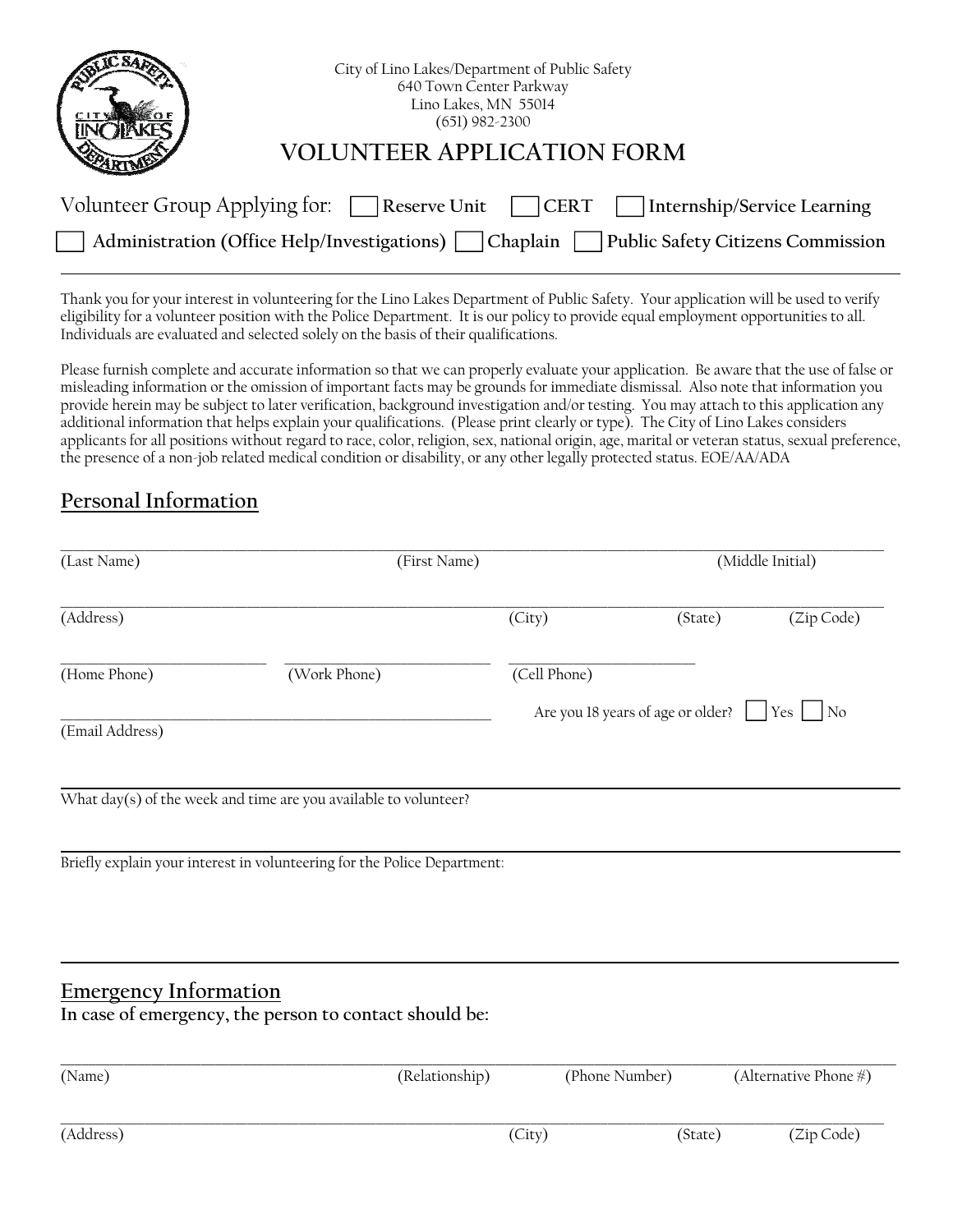| City of Lino Lakes/Department of Public Safety<br>640 Town Center Parkway<br>Lino Lakes, MN 55014<br>$(651)$ 982-2300 |
|-----------------------------------------------------------------------------------------------------------------------|
| VOI UNTFFR APPLICATION FORM                                                                                           |
| Volunteer Group Applying for: $\Box$ Reserve Unit<br>Internship/Service Learning<br><b>CERT</b>                       |
| Public Safety Citizens Commission<br>Administration (Office Help/Investigations)<br>Chaplain                          |

Thank you for your interest in volunteering for the Lino Lakes Department of Public Safety. Your application will be used to verify eligibility for a volunteer position with the Police Department. It is our policy to provide equal employment opportunities to all. Individuals are evaluated and selected solely on the basis of their qualifications.

Please furnish complete and accurate information so that we can properly evaluate your application. Be aware that the use of false or misleading information or the omission of important facts may be grounds for immediate dismissal. Also note that information you provide herein may be subject to later verification, background investigation and/or testing. You may attach to this application any additional information that helps explain your qualifications. (Please print clearly or type). The City of Lino Lakes considers applicants for all positions without regard to race, color, religion, sex, national origin, age, marital or veteran status, sexual preference, the presence of a non-job related medical condition or disability, or any other legally protected status. EOE/AA/ADA

## **Personal Information**

| (Last Name)                  | (First Name)                                                                                                                                 |              |                                   | (Middle Initial)      |
|------------------------------|----------------------------------------------------------------------------------------------------------------------------------------------|--------------|-----------------------------------|-----------------------|
| (Address)                    |                                                                                                                                              | (City)       | (State)                           | (Zip Code)            |
| (Home Phone)                 | (Work Phone)                                                                                                                                 | (Cell Phone) |                                   |                       |
| (Email Address)              |                                                                                                                                              |              | Are you 18 years of age or older? | Yes<br>$\overline{N}$ |
|                              | What day(s) of the week and time are you available to volunteer?<br>Briefly explain your interest in volunteering for the Police Department: |              |                                   |                       |
|                              |                                                                                                                                              |              |                                   |                       |
| <b>Emergency Information</b> | In case of emergency, the person to contact should be:                                                                                       |              |                                   |                       |
| (Name)                       | (Relationship)                                                                                                                               |              | (Phone Number)                    | (Alternative Phone #) |

| (Name)    | (Relationship) | (Phone Number) | (Alternative Phone $\#$ ) |
|-----------|----------------|----------------|---------------------------|
| (Address) | (City)         | (State)        | (Zip Code)                |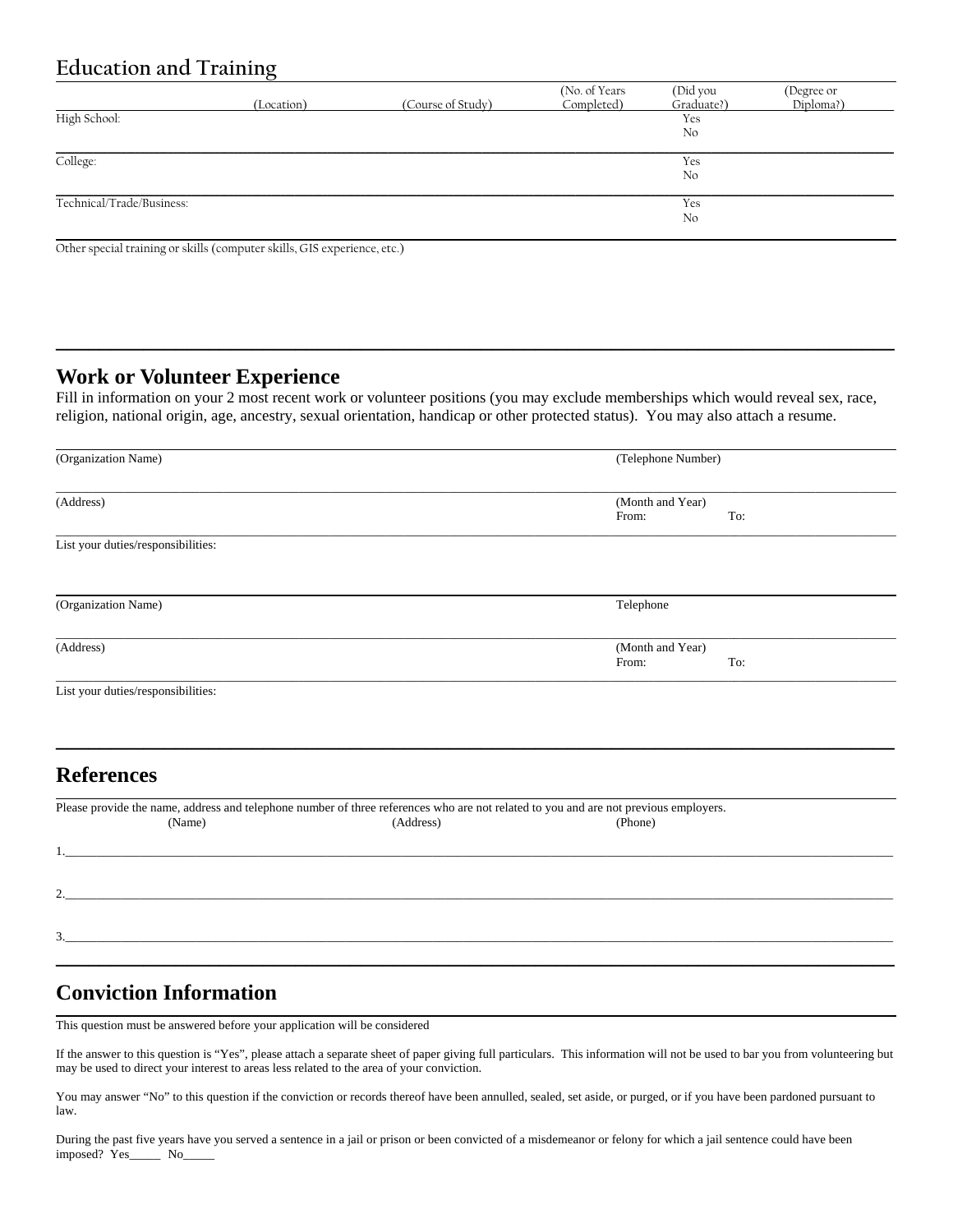## **Education and Training**

|                           | (Location) | (Course of Study) | (No. of Years)<br>Completed) | (Did you<br>Graduate?) | (Degree or<br>Diploma?) |
|---------------------------|------------|-------------------|------------------------------|------------------------|-------------------------|
| High School:              |            |                   |                              | Yes<br>No              |                         |
| College:                  |            |                   |                              | Yes<br>No              |                         |
| Technical/Trade/Business: |            |                   |                              | Yes<br>No              |                         |

Other special training or skills (computer skills, GIS experience, etc.)

#### **Work or Volunteer Experience**

Fill in information on your 2 most recent work or volunteer positions (you may exclude memberships which would reveal sex, race, religion, national origin, age, ancestry, sexual orientation, handicap or other protected status). You may also attach a resume.

**\_\_\_\_\_\_\_\_\_\_\_\_\_\_\_\_\_\_\_\_\_\_\_\_\_\_\_\_\_\_\_\_\_\_\_\_\_\_\_\_\_\_\_\_\_\_\_\_\_\_\_\_\_\_\_\_\_\_\_\_\_\_\_\_\_\_\_\_\_\_\_\_\_\_\_\_\_** 

| (Organization Name)                                                                                                                            |           | (Telephone Number)        |     |
|------------------------------------------------------------------------------------------------------------------------------------------------|-----------|---------------------------|-----|
| (Address)                                                                                                                                      |           | (Month and Year)<br>From: | To: |
| List your duties/responsibilities:                                                                                                             |           |                           |     |
| (Organization Name)                                                                                                                            |           | Telephone                 |     |
| (Address)                                                                                                                                      |           | (Month and Year)<br>From: | To: |
| List your duties/responsibilities:                                                                                                             |           |                           |     |
|                                                                                                                                                |           |                           |     |
| <b>References</b>                                                                                                                              |           |                           |     |
| Please provide the name, address and telephone number of three references who are not related to you and are not previous employers.<br>(Name) | (Address) | (Phone)                   |     |
|                                                                                                                                                |           |                           |     |
| 2.<br><u> 1989 - Andrea Branden, amerikansk politik (d. 1989)</u>                                                                              |           |                           |     |
| <u> 1980 - Jan Samuel Barbara, margaret e populari e populari e populari e populari e populari e populari e pop</u><br>3.                      |           |                           |     |
|                                                                                                                                                |           |                           |     |

## **Conviction Information**

This question must be answered before your application will be considered

If the answer to this question is "Yes", please attach a separate sheet of paper giving full particulars. This information will not be used to bar you from volunteering but may be used to direct your interest to areas less related to the area of your conviction.

You may answer "No" to this question if the conviction or records thereof have been annulled, sealed, set aside, or purged, or if you have been pardoned pursuant to law.

During the past five years have you served a sentence in a jail or prison or been convicted of a misdemeanor or felony for which a jail sentence could have been imposed? Yes\_\_\_\_\_ No\_\_\_\_\_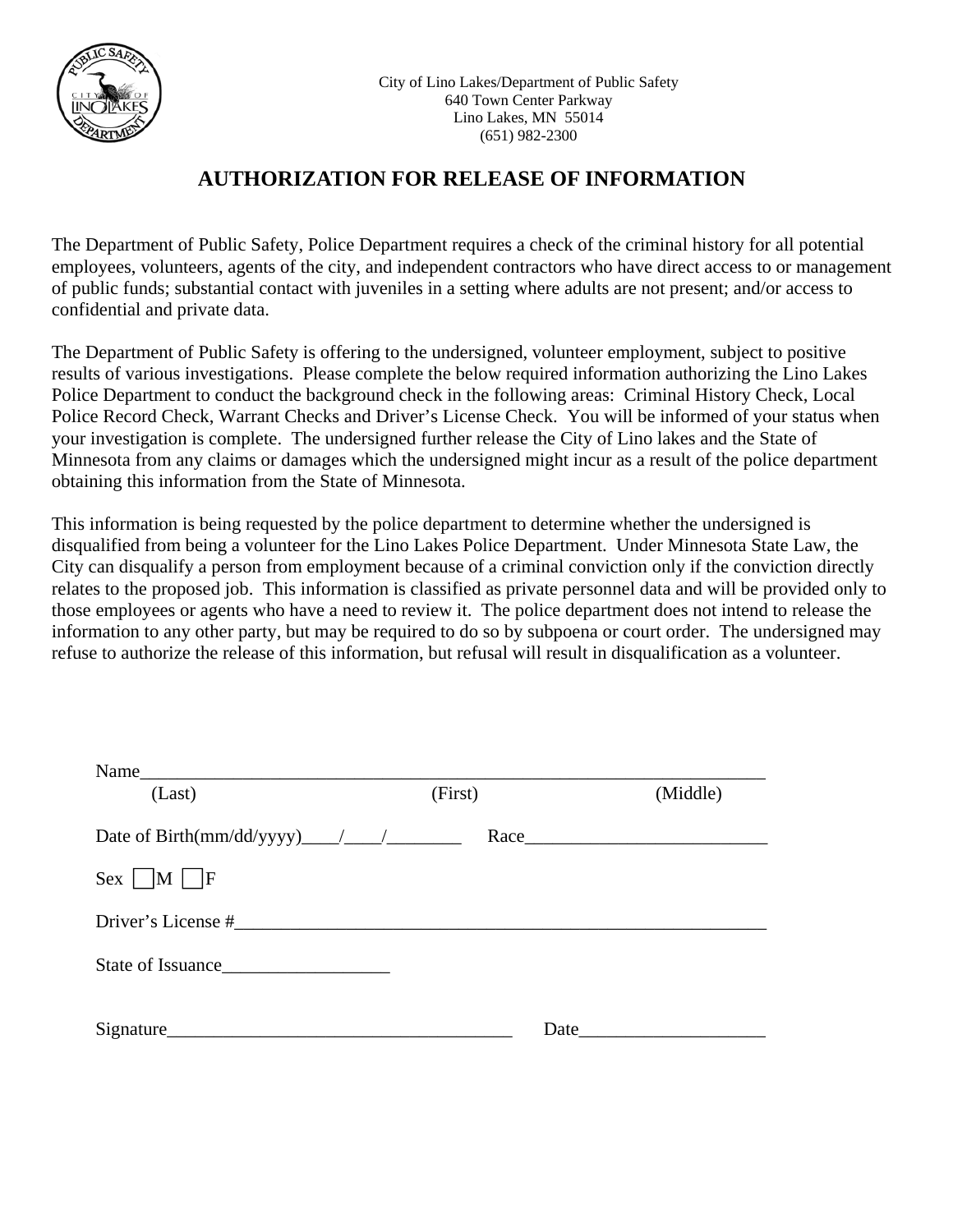

# **AUTHORIZATION FOR RELEASE OF INFORMATION**

The Department of Public Safety, Police Department requires a check of the criminal history for all potential employees, volunteers, agents of the city, and independent contractors who have direct access to or management of public funds; substantial contact with juveniles in a setting where adults are not present; and/or access to confidential and private data.

The Department of Public Safety is offering to the undersigned, volunteer employment, subject to positive results of various investigations. Please complete the below required information authorizing the Lino Lakes Police Department to conduct the background check in the following areas: Criminal History Check, Local Police Record Check, Warrant Checks and Driver's License Check. You will be informed of your status when your investigation is complete. The undersigned further release the City of Lino lakes and the State of Minnesota from any claims or damages which the undersigned might incur as a result of the police department obtaining this information from the State of Minnesota.

This information is being requested by the police department to determine whether the undersigned is disqualified from being a volunteer for the Lino Lakes Police Department. Under Minnesota State Law, the City can disqualify a person from employment because of a criminal conviction only if the conviction directly relates to the proposed job. This information is classified as private personnel data and will be provided only to those employees or agents who have a need to review it. The police department does not intend to release the information to any other party, but may be required to do so by subpoena or court order. The undersigned may refuse to authorize the release of this information, but refusal will result in disqualification as a volunteer.

| (Last)             | (First) | (Middle) |  |
|--------------------|---------|----------|--|
|                    |         |          |  |
| $Sex \t M \cup F$  |         |          |  |
| Driver's License # |         |          |  |
|                    |         |          |  |
|                    | Date    |          |  |